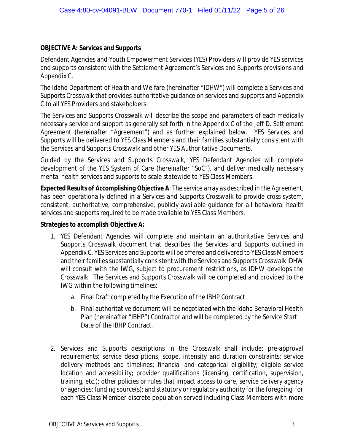## **OBJECTIVE A: Services and Supports**

Defendant Agencies and Youth Empowerment Services (YES) Providers will provide YES services and supports consistent with the Settlement Agreement's Services and Supports provisions and Appendix C.

The Idaho Department of Health and Welfare (hereinafter "IDHW") will complete a Services and Supports Crosswalk that provides authoritative guidance on services and supports and Appendix C to all YES Providers and stakeholders.

The Services and Supports Crosswalk will describe the scope and parameters of each medically necessary service and support as generally set forth in the Appendix C of the Jeff D. Settlement Agreement (hereinafter "Agreement") and as further explained below. YES Services and Supports will be delivered to YES Class Members and their families substantially consistent with the Services and Supports Crosswalk and other YES Authoritative Documents.

Guided by the Services and Supports Crosswalk, YES Defendant Agencies will complete development of the YES System of Care (hereinafter "SoC"), and deliver medically necessary mental health services and supports to scale statewide to YES Class Members.

*Expected Results of Accomplishing Objective A: The service array as described in the Agreement, has been operationally defined in a Services and Supports Crosswalk to provide cross-system, consistent, authoritative, comprehensive, publicly available guidance for all behavioral health services and supports required to be made available to YES Class Members.*

**Strategies to accomplish Objective A:**

- 1. YES Defendant Agencies will complete and maintain an authoritative Services and Supports Crosswalk document that describes the Services and Supports outlined in Appendix C. YES Services and Supports will be offered and delivered to YES Class Members and their families substantially consistent with the Services and Supports Crosswalk IDHW will consult with the IWG, subject to procurement restrictions, as IDHW develops the Crosswalk. The Services and Supports Crosswalk will be completed and provided to the IWG within the following timelines:
	- a. Final Draft completed by the Execution of the IBHP Contract
	- b. Final authoritative document will be negotiated with the Idaho Behavioral Health Plan (hereinafter "IBHP") Contractor and will be completed by the Service Start Date of the IBHP Contract.
- 2. Services and Supports descriptions in the Crosswalk shall include: pre-approval requirements; service descriptions; scope, intensity and duration constraints; service delivery methods and timelines; financial and categorical eligibility; eligible service location and accessibility; provider qualifications (licensing, certification, supervision, training, etc.); other policies or rules that impact access to care, service delivery agency or agencies; funding source(s); and statutory or regulatory authority for the foregoing, for each YES Class Member discrete population served including Class Members with more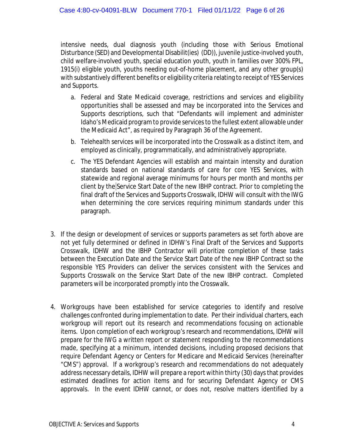intensive needs, dual diagnosis youth (including those with Serious Emotional Disturbance (SED) and Developmental Disabilit(ies) (DD)), juvenile justice-involved youth, child welfare-involved youth, special education youth, youth in families over 300% FPL, 1915(i) eligible youth, youths needing out-of-home placement, and any other group(s) with substantively different benefits or eligibility criteria relating to receipt of YES Services and Supports.

- a. Federal and State Medicaid coverage, restrictions and services and eligibility opportunities shall be assessed and may be incorporated into the Services and Supports descriptions, such that "Defendants will implement and administer Idaho's Medicaid program to provide services to the fullest extent allowable under the Medicaid Act", as required by Paragraph 36 of the Agreement.
- b. Telehealth services will be incorporated into the Crosswalk as a distinct item, and employed as clinically, programmatically, and administratively appropriate.
- c. The YES Defendant Agencies will establish and maintain intensity and duration standards based on national standards of care for core YES Services, with statewide and regional average minimums for hours per month and months per client by the Service Start Date of the new IBHP contract. Prior to completing the final draft of the Services and Supports Crosswalk, IDHW will consult with the IWG when determining the core services requiring minimum standards under this paragraph.
- 3. If the design or development of services or supports parameters as set forth above are not yet fully determined or defined in IDHW's Final Draft of the Services and Supports Crosswalk, IDHW and the IBHP Contractor will prioritize completion of these tasks between the Execution Date and the Service Start Date of the new IBHP Contract so the responsible YES Providers can deliver the services consistent with the Services and Supports Crosswalk on the Service Start Date of the new IBHP contract. Completed parameters will be incorporated promptly into the Crosswalk.
- 4. Workgroups have been established for service categories to identify and resolve challenges confronted during implementation to date. Per their individual charters, each workgroup will report out its research and recommendations focusing on actionable items. Upon completion of each workgroup's research and recommendations, IDHW will prepare for the IWG a written report or statement responding to the recommendations made, specifying at a minimum, intended decisions, including proposed decisions that require Defendant Agency or Centers for Medicare and Medicaid Services (hereinafter "CMS") approval. If a workgroup's research and recommendations do not adequately address necessary details, IDHW will prepare a report within thirty (30) days that provides estimated deadlines for action items and for securing Defendant Agency or CMS approvals. In the event IDHW cannot, or does not, resolve matters identified by a